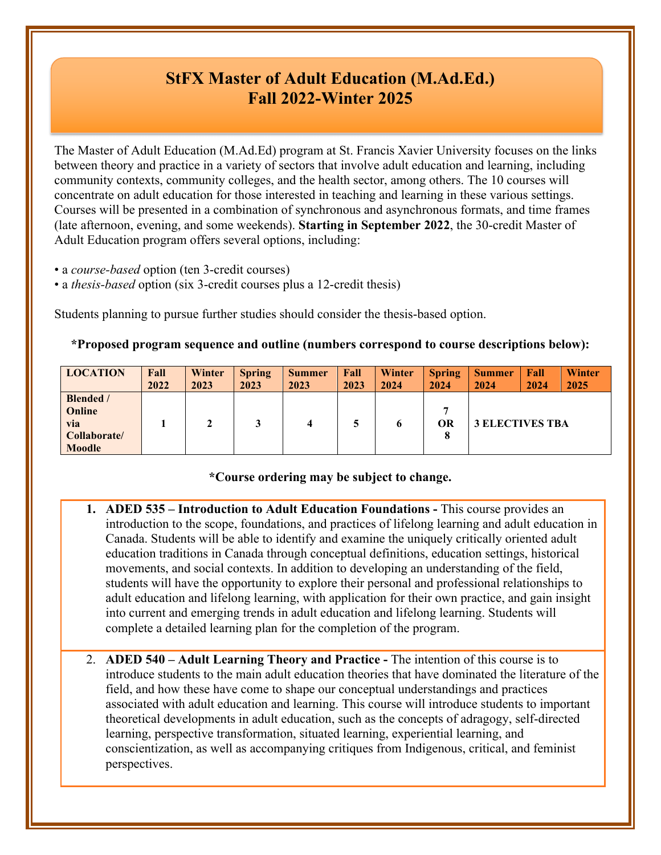# **StFX Master of Adult Education (M.Ad.Ed.) Fall 2022-Winter 2025**

The Master of Adult Education (M.Ad.Ed) program at St. Francis Xavier University focuses on the links between theory and practice in a variety of sectors that involve adult education and learning, including community contexts, community colleges, and the health sector, among others. The 10 courses will concentrate on adult education for those interested in teaching and learning in these various settings. Courses will be presented in a combination of synchronous and asynchronous formats, and time frames (late afternoon, evening, and some weekends). **Starting in September 2022**, the 30-credit Master of Adult Education program offers several options, including:

- a *course-based* option (ten 3-credit courses)
- a *thesis-based* option (six 3-credit courses plus a 12-credit thesis)

Students planning to pursue further studies should consider the thesis-based option.

### **\*Proposed program sequence and outline (numbers correspond to course descriptions below):**

| <b>LOCATION</b>                                                           | Fall | Winter | <b>Spring</b> | <b>Summer</b> | Fall | Winter | <b>Spring</b> | <b>Summer</b> | Fall                   | <b>Winter</b> |
|---------------------------------------------------------------------------|------|--------|---------------|---------------|------|--------|---------------|---------------|------------------------|---------------|
|                                                                           | 2022 | 2023   | 2023          | 2023          | 2023 | 2024   | 2024          | 2024          | 2024                   | 2025          |
| <b>Blended</b> /<br>Online<br><b>via</b><br>Collaborate/<br><b>Moodle</b> |      | 2      |               | 4             |      | 6      | m<br>OR<br>8  |               | <b>3 ELECTIVES TBA</b> |               |

# **\*Course ordering may be subject to change.**

- **1. ADED 535 – Introduction to Adult Education Foundations -** This course provides an introduction to the scope, foundations, and practices of lifelong learning and adult education in Canada. Students will be able to identify and examine the uniquely critically oriented adult education traditions in Canada through conceptual definitions, education settings, historical movements, and social contexts. In addition to developing an understanding of the field, students will have the opportunity to explore their personal and professional relationships to adult education and lifelong learning, with application for their own practice, and gain insight into current and emerging trends in adult education and lifelong learning. Students will complete a detailed learning plan for the completion of the program.
- 2. **ADED 540 – Adult Learning Theory and Practice -** The intention of this course is to introduce students to the main adult education theories that have dominated the literature of the field, and how these have come to shape our conceptual understandings and practices associated with adult education and learning. This course will introduce students to important theoretical developments in adult education, such as the concepts of adragogy, self-directed learning, perspective transformation, situated learning, experiential learning, and conscientization, as well as accompanying critiques from Indigenous, critical, and feminist perspectives.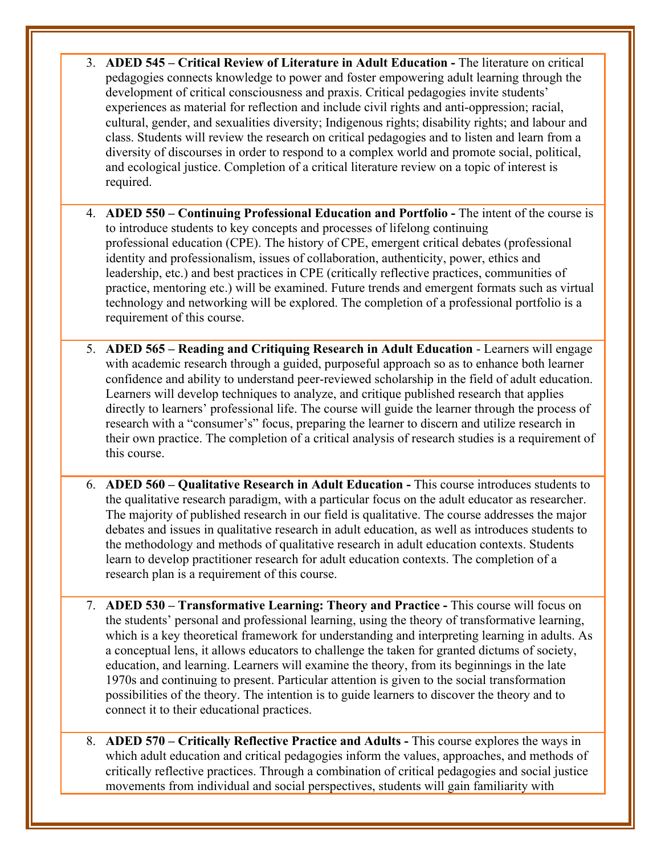- 3. **ADED 545 – Critical Review of Literature in Adult Education -** The literature on critical pedagogies connects knowledge to power and foster empowering adult learning through the development of critical consciousness and praxis. Critical pedagogies invite students' experiences as material for reflection and include civil rights and anti-oppression; racial, cultural, gender, and sexualities diversity; Indigenous rights; disability rights; and labour and class. Students will review the research on critical pedagogies and to listen and learn from a diversity of discourses in order to respond to a complex world and promote social, political, and ecological justice. Completion of a critical literature review on a topic of interest is required.
- 4. **ADED 550 – Continuing Professional Education and Portfolio -** The intent of the course is to introduce students to key concepts and processes of lifelong continuing professional education (CPE). The history of CPE, emergent critical debates (professional identity and professionalism, issues of collaboration, authenticity, power, ethics and leadership, etc.) and best practices in CPE (critically reflective practices, communities of practice, mentoring etc.) will be examined. Future trends and emergent formats such as virtual technology and networking will be explored. The completion of a professional portfolio is a requirement of this course.
- 5. **ADED 565 – Reading and Critiquing Research in Adult Education** Learners will engage with academic research through a guided, purposeful approach so as to enhance both learner confidence and ability to understand peer-reviewed scholarship in the field of adult education. Learners will develop techniques to analyze, and critique published research that applies directly to learners' professional life. The course will guide the learner through the process of research with a "consumer's" focus, preparing the learner to discern and utilize research in their own practice. The completion of a critical analysis of research studies is a requirement of this course.
- 6. **ADED 560 – Qualitative Research in Adult Education -** This course introduces students to the qualitative research paradigm, with a particular focus on the adult educator as researcher. The majority of published research in our field is qualitative. The course addresses the major debates and issues in qualitative research in adult education, as well as introduces students to the methodology and methods of qualitative research in adult education contexts. Students learn to develop practitioner research for adult education contexts. The completion of a research plan is a requirement of this course.
- 7. **ADED 530 – Transformative Learning: Theory and Practice -** This course will focus on the students' personal and professional learning, using the theory of transformative learning, which is a key theoretical framework for understanding and interpreting learning in adults. As a conceptual lens, it allows educators to challenge the taken for granted dictums of society, education, and learning. Learners will examine the theory, from its beginnings in the late 1970s and continuing to present. Particular attention is given to the social transformation possibilities of the theory. The intention is to guide learners to discover the theory and to connect it to their educational practices.
- 8. **ADED 570 – Critically Reflective Practice and Adults -** This course explores the ways in which adult education and critical pedagogies inform the values, approaches, and methods of critically reflective practices. Through a combination of critical pedagogies and social justice movements from individual and social perspectives, students will gain familiarity with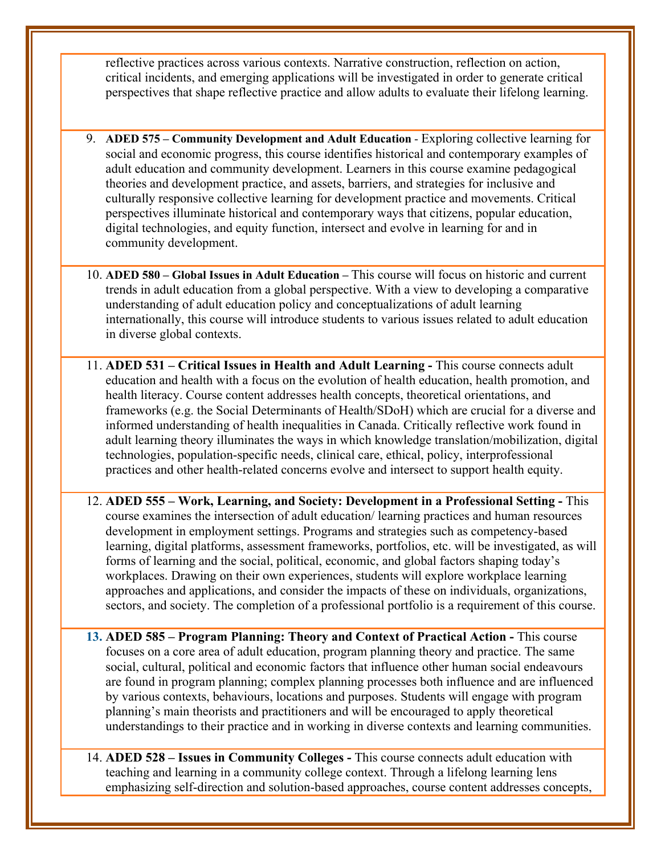reflective practices across various contexts. Narrative construction, reflection on action, critical incidents, and emerging applications will be investigated in order to generate critical perspectives that shape reflective practice and allow adults to evaluate their lifelong learning.

- 9. **ADED 575 – Community Development and Adult Education** Exploring collective learning for social and economic progress, this course identifies historical and contemporary examples of adult education and community development. Learners in this course examine pedagogical theories and development practice, and assets, barriers, and strategies for inclusive and culturally responsive collective learning for development practice and movements. Critical perspectives illuminate historical and contemporary ways that citizens, popular education, digital technologies, and equity function, intersect and evolve in learning for and in community development.
- 10. **ADED 580 – Global Issues in Adult Education –** This course will focus on historic and current trends in adult education from a global perspective. With a view to developing a comparative understanding of adult education policy and conceptualizations of adult learning internationally, this course will introduce students to various issues related to adult education in diverse global contexts.
- 11. **ADED 531 – Critical Issues in Health and Adult Learning -** This course connects adult education and health with a focus on the evolution of health education, health promotion, and health literacy. Course content addresses health concepts, theoretical orientations, and frameworks (e.g. the Social Determinants of Health/SDoH) which are crucial for a diverse and informed understanding of health inequalities in Canada. Critically reflective work found in adult learning theory illuminates the ways in which knowledge translation/mobilization, digital technologies, population-specific needs, clinical care, ethical, policy, interprofessional practices and other health-related concerns evolve and intersect to support health equity.
- 12. **ADED 555 – Work, Learning, and Society: Development in a Professional Setting -** This course examines the intersection of adult education/ learning practices and human resources development in employment settings. Programs and strategies such as competency-based learning, digital platforms, assessment frameworks, portfolios, etc. will be investigated, as will forms of learning and the social, political, economic, and global factors shaping today's workplaces. Drawing on their own experiences, students will explore workplace learning approaches and applications, and consider the impacts of these on individuals, organizations, sectors, and society. The completion of a professional portfolio is a requirement of this course.
- **13. ADED 585 – Program Planning: Theory and Context of Practical Action -** This course focuses on a core area of adult education, program planning theory and practice. The same social, cultural, political and economic factors that influence other human social endeavours are found in program planning; complex planning processes both influence and are influenced by various contexts, behaviours, locations and purposes. Students will engage with program planning's main theorists and practitioners and will be encouraged to apply theoretical understandings to their practice and in working in diverse contexts and learning communities.
- 14. **ADED 528 – Issues in Community Colleges -** This course connects adult education with teaching and learning in a community college context. Through a lifelong learning lens emphasizing self-direction and solution-based approaches, course content addresses concepts,